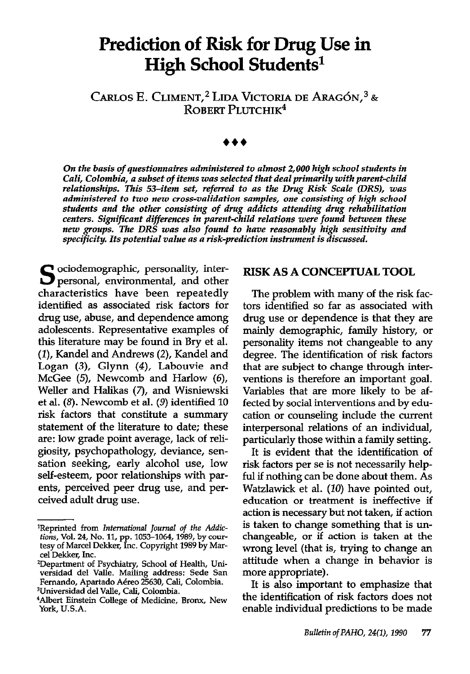# Prediction of Risk for Drug Use in High School Students<sup>1</sup>

CARLOS E. CLIMENT,<sup>2</sup> LIDA VICTORIA DE ARAGÓN,<sup>3</sup> & ROBERT PLUTCHIK<sup>4</sup>

On the basis of questionnaires administered to almost 2,000 high school students in Cali, Colombia, a subset of items was selected that deal primarily with parent-child relationships. This 53-item set, referred to as the Drug Risk Scale (DRS), was administered to two new cross-validation samples, one consisting of high school students and the other consisting of drug addicts attending drug rehabilitation centers. Significant differences in parent-child relations were found between these new groups. The DRS was also found to have reasonably high sensitivity and specificity. Its potential value as a risk-prediction instrument is discussed.

S ociodemographic, personality, inter-<br>S personal, environmental, and other characteristics have been repeatedly identified as associated risk factors for drug use, abuse, and dependence among adolescents. Representative examples of this literature may be found in Bry et al. (l), Kandel and Andrews (2), Kandel and Logan  $(3)$ , Glynn  $(4)$ , Labouvie and McGee (5), Newcomb and Harlow (6), Weller and Halikas (7), and Wisniewski et al. (8). Newcomb et al. (9) identified 10 risk factors that constitute a summary statement of the literature to date; these are: low grade point average, lack of religiosity, psychopathology, deviance, sensation seeking, early alcohol use, low self-esteem, poor relationships with parents, perceived peer drug use, and perceived adult drug use.

#### RISK AS A CONCEPTUAL TOOL

The problem with many of the risk factors identified so far as associated with drug use or dependence is that they are mainly demographic, family history, or personality items not changeable to any degree. The identification of risk factors that are subject to change through interventions is therefore an important goal. Variables that are more likely to be affected by social interventions and by education or counseling include the current interpersonal relations of an individual, particularly those within a family setting.

It is evident that the identification of risk factors per se is not necessarily helpful if nothing can be done about them. As Watzlawick et al. (10) have pointed out, education or treatment is ineffective if action is necessary but not taken, if action is taken to change something that is unchangeable, or if action is taken at the wrong level (that is, trying to change an attitude when a change in behavior is more appropriate).

It is also important to emphasize that the identification of risk factors does not enable individual predictions to be made

<sup>&</sup>lt;sup>1</sup>Reprinted from International Journal of the Addictions, Vol. 24, No. 11, pp. 1053–1064, 1989, by cour tesy of Marcel Dekker, Inc. Copyright 1989 by Marcel Dekker, Inc.

<sup>&</sup>lt;sup>2</sup>Department of Psychiatry, School of Health, Universidad del Valle. Mailing address: Sede San Fernando, Apartado Aéreo 25630, Cali, Colombia. <sup>3</sup>Universidad del Valle, Cali, Colombia.

<sup>&</sup>lt;sup>4</sup>Albert Einstein College of Medicine, Bronx, New York, U.S.A.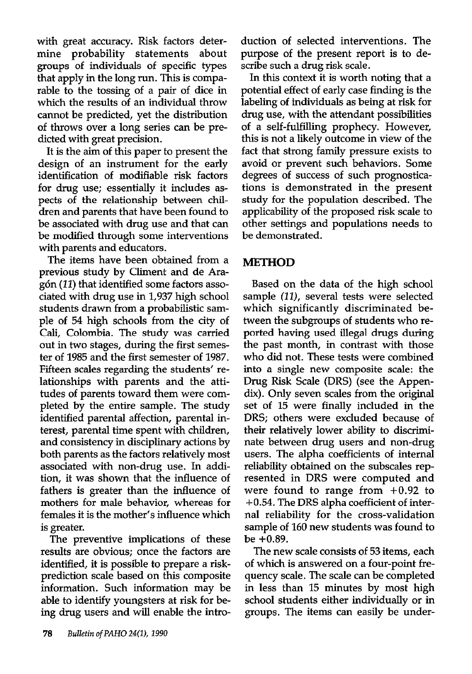with great accuracy. Risk factors determine probability statements about groups of individuals of specific types that apply in the long run. This is comparable to the tossing of a pair of dice in which the results of an individual throw cannot be predicted, yet the distribution of throws over a long series can be predicted with great precision.

It is the aim of this paper to present the design of an instrument for the early identification of modifiable risk factors for drug use; essentially it includes aspects of the relationship between children and parents that have been found to be associated with drug use and that can be modified through some interventions with parents and educators.

The items have been obtained from a previous study by Climent and de Aragón  $(11)$  that identified some factors associated with drug use in 1,937 high school students drawn from a probabilistic sample of 54 high schools from the city of Cali, Colombia. The study was carried out in two stages, during the first semester of 1985 and the first semester of 1987. Fifteen scales regarding the students' relationships with parents and the attitudes of parents toward them were completed by the entire sample. The study identified parental affection, parental interest, parental time spent with children, and consistency in disciplinary actions by both parents as the factors relatively most associated with non-drug use. In addition, it was shown that the influence of fathers is greater than the influence of mothers for male behavior, whereas for females it is the mother's influence which is greater.

The preventive implications of these results are obvious; once the factors are identified, it is possible to prepare a riskprediction scale based on this composite information. Such information may be able to identify youngsters at risk for being drug users and will enable the introduction of selected interventions. The purpose of the present report is to describe such a drug risk scale.

In this context it is worth noting that a potential effect of early case finding is the labeling of individuals as being at risk for drug use, with the attendant possibilities of a self-fulfilling prophecy. However, this is not a likely outcome in view of the fact that strong family pressure exists to avoid or prevent such behaviors. Some degrees of success of such prognostications is demonstrated in the present study for the population described. The applicability of the proposed risk scale to other settings and populations needs to be demonstrated.

# METHOD

Based on the data of the high school sample (11), several tests were selected which significantly discriminated between the subgroups of students who reported having used illegal drugs during the past month, in contrast with those who did not. These tests were combined into a single new composite scale: the Drug Risk Scale (DRS) (see the Appendix). Only seven scales from the original set of 15 were finally included in the DRS; others were excluded because of their relatively lower ability to discriminate between drug users and non-drug users. The alpha coefficients of internal reliability obtained on the subscales represented in DRS were computed and were found to range from  $+0.92$  to  $+0.54$ . The DRS alpha coefficient of internal reliability for the cross-validation sample of 160 new students was found to be +0.89.

The new scale consists of 53 items, each of which is answered on a four-point frequency scale. The scale can be completed in less than 15 minutes by most high school students either individually or in groups. The items can easily be under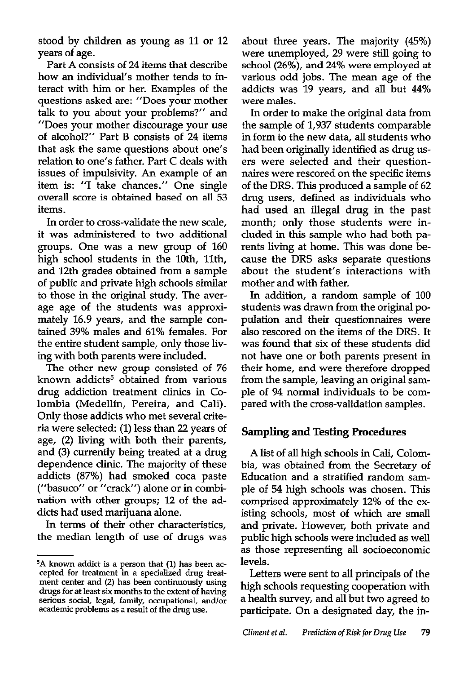stood by children as young as 11 or 12 years of age.

Part A consists of 24 items that describe how an individual's mother tends to interact with him or her. Examples of the questions asked are: "Does your mother talk to you about your problems?" and "Does your mother discourage your use of alcohol?" Part B consists of 24 items that ask the same questions about one's relation to one's father. Part C deals with issues of impulsivity. An example of an item is: "I take chances." One single overall score is obtained based on all 53 items.

In order to cross-validate the new scale, it was administered to two additional groups. One was a new group of 160 high school students in the lOth, llth, and 12th grades obtained from a sample of public and private high schools similar to those in the original study. The average age of the students was approximately 16.9 years, and the sample contained 39% males and 61% females. For the entire student sample, only those living with both parents were included.

The other new group consisted of 76 known addicts<sup>5</sup> obtained from various drug addiction treatment clinics in Colombia (Medellfn, Pereira, and Cali). Only those addicts who met several criteria were selected: (1) less than 22 years of age, (2) living with both their parents, and (3) currently being treated at a drug dependence clinic. The majority of these addicts (87%) had smoked coca paste ("basuco" or "crack") alone or in combination with other groups; 12 of the addicts had used marijuana alone.

In terms of their other characteristics, the median length of use of drugs was about three years. The majority (45%) were unemployed, 29 were still going to school (26%), and 24% were employed at various odd jobs. The mean age of the addicts was 19 years, and all but 44% were males.

In order to make the original data from the sample of 1,937 students comparable in form to the new data, all students who had been originally identified as drug users were selected and their questionnaires were rescored on the specific items of the DRS. This produced a sample of 62 drug users, defined as individuals who had used an illegal drug in the past month; only those students were included in this sample who had both parents living at home. This was done because the DRS asks separate questions about the student's interactions with mother and with father.

In addition, a random sample of 100 students was drawn from the original population and their questionnaires were also rescored on the items of the DRS. It was found that six of these students did not have one or both parents present in their home, and were therefore dropped from the sample, leaving an original sample of 94 normal individuals to be compared with the cross-validation samples.

## Sampling and Testing Procedures

A list of all high schools in Cali, Colombia, was obtained from the Secretary of Education and a stratified random sample of 54 high schools was chosen. This comprised approximately 12% of the existing schools, most of which are small and private. However, both private and public high schools were included as well as those representing all socioeconomic levels.

Letters were sent to all principals of the high schools requesting cooperation with a health survey, and all but two agreed to participate. On a designated day, the in-

<sup>5</sup>A known addict is a person that (1) has been accepted for treatment in a specialized drug treatment center and (2) has been continuously using drugs for at least six months to the extent of having serious social, legal, family, occupational, and/or academic problems as a result of the drug use.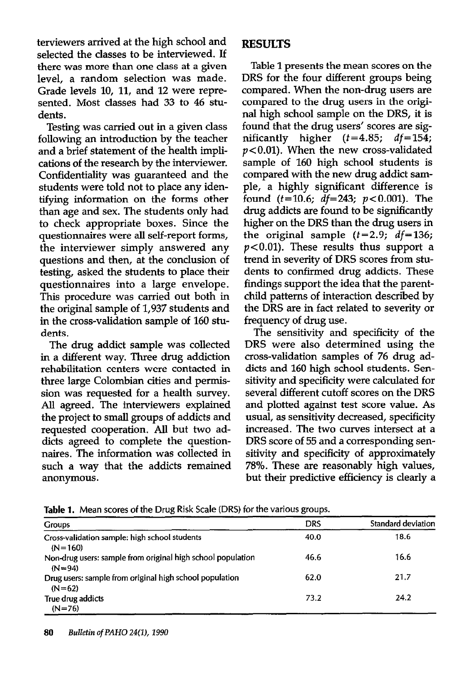terviewers arrived at the high school and selected the classes to be interviewed. If there was more than one class at a given level, a random selection was made. Grade levels 10, 11, and 12 were represented. Most classes had 33 to 46 students.

Testing was carried out in a given class following an introduction by the teacher and a brief statement of the health implications of the research by the interviewer. Confidentiality was guaranteed and the students were told not to place any identifying information on the forms other than age and sex. The students only had to check appropriate boxes. Since the questionnaires were all self-report forms, the interviewer simply answered any questions and then, at the conclusion of testing, asked the students to place their questionnaires into a large envelope. This procedure was carried out both in the original sample of 1,937 students and in the cross-validation sample of 160 students.

The drug addict sample was collected in a different way. Three drug addiction rehabilitation centers were contacted in three large Colombian cities and permission was requested for a health survey. All agreed. The interviewers explained the project to small groups of addicts and requested cooperation. All but two addicts agreed to complete the questionnaires. The information was collected in such a way that the addicts remained anonymous.

# RESULTS

Table 1 presents the mean scores on the DRS for the four different groups being compared. When the non-drug users are compared to the drug users in the original high school sample on the DRS, it is found that the drug users' scores are significantly higher  $(t=4.85; df=154;$  $p$ <0.01). When the new cross-validated sample of 160 high school students is compared with the new drug addict sample, a highly significant difference is found  $(t=10.6; df=243; p<0.001)$ . The drug addicts are found to be significantly higher on the DRS than the drug users in the original sample  $(t=2.9; df=136;$  $p<0.01$ ). These results thus support a trend in severity of DRS scores from students to confirmed drug addicts. These findings support the idea that the parentchild patterns of interaction described by the DRS are in fact related to severity or frequency of drug use.

The sensitivity and specificity of the DRS were also determined using the cross-validation samples of 76 drug addicts and 160 high school students. Sensitivity and specificity were calculated for several different cutoff scores on the DRS and plotted against test score value. As usual, as sensitivity decreased, specificity increased. The two curves intersect at a DRS score of 55 and a corresponding sensitivity and specificity of approximately 78%. These are reasonably high values, but their predictive efficiency is clearly a

Table 1. Mean scores of the Drug Risk Scale (DRS) for the various groups.

| <b>Groups</b>                                                           | <b>DRS</b> | <b>Standard deviation</b> |
|-------------------------------------------------------------------------|------------|---------------------------|
| Cross-validation sample: high school students<br>$(N=160)$              | 40.0       | 18.6                      |
| Non-drug users: sample from original high school population<br>$(N=94)$ | 46.6       | 16.6                      |
| Drug users: sample from original high school population<br>$(N=62)$     | 62.0       | 21.7                      |
| True drug addicts<br>$(N = 76)$                                         | 73.2       | 24.2                      |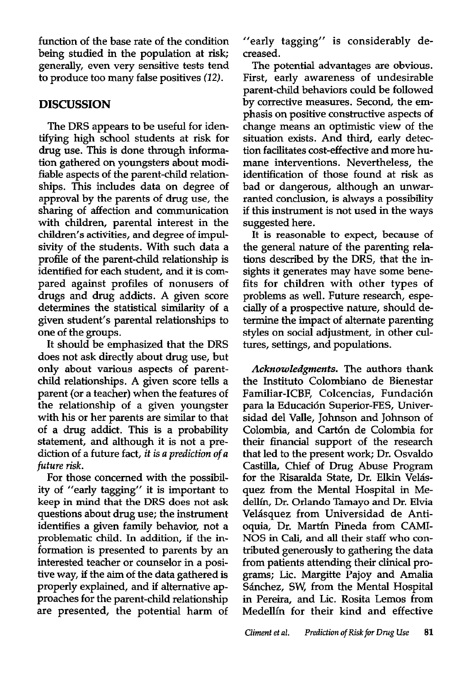function of the base rate of the condition being studied in the population at risk; generally, even very sensitive tests tend to produce too many false positives (12).

# DISCUSSION

The DRS appears to be useful for identifying high school students at risk for drug use. This is done through information gathered on youngsters about modifiable aspects of the parent-child relationships. This includes data on degree of approval by the parents of drug use, the sharing of affection and communication with children, parental interest in the children's activities, and degree of impulsivity of the students. With such data a profile of the parent-child relationship is identified for each student, and it is compared against profiles of nonusers of drugs and drug addicts. A given score determines the statistical similarity of a given student's parental relationships to one of the groups.

It should be emphasized that the DRS does not ask directly about drug use, but only about various aspects of parentchild relationships. A given score tells a parent (or a teacher) when the features of the relationship of a given youngster with his or her parents are similar to that of a drug addict. This is a probability statement, and although it is not a prediction of a future fact, it is a prediction of a future risk.

For those concerned with the possibility of "early tagging" it is important to keep in mind that the DRS does not ask questions about drug use; the instrument identifies a given family behavior, not a problematic child. In addition, if the information is presented to parents by an interested teacher or counselor in a positive way, if the aim of the data gathered is properly explained, and if alternative approaches for the parent-child relationship are presented, the potential harm of "early tagging" is considerably decreased.

The potential advantages are obvious. First, early awareness of undesirable parent-child behaviors could be followed by corrective measures. Second, the emphasis on positive constructive aspects of change means an optimistic view of the situation exists. And third, early detection facilitates cost-effective and more humane interventions. Nevertheless, the identification of those found at risk as bad or dangerous, although an unwarranted conclusion, is always a possibility if this instrument is not used in the ways suggested here.

It is reasonable to expect, because of the general nature of the parenting relations described by the DRS, that the insights it generates may have some benefits for children with other types of problems as well. Future research, especially of a prospective nature, should determine the impact of alternate parenting styles on social adjustment, in other cultures, settings, and populations.

Acknowledgments. The authors thank the Instituto Colombiano de Bienestar Familiar-ICBF, Colcencias, Fundación para la Educacidn Superior-FES, Universidad de1 Valle, Johnson and Johnson of Colombia, and Cartón de Colombia for their financial support of the research that led to the present work; Dr. Osvaldo Castilla, Chief of Drug Abuse Program for the Risaralda State, Dr. Elkin Velásquez from the Mental Hospital in Medellin, Dr. Orlando Tamayo and Dr. Elvia Velásquez from Universidad de Antioquia, Dr. Martin Pineda from CAMI-NOS in Cali, and all their staff who contributed generously to gathering the data from patients attending their clinical programs; Lic. Margitte Pajoy and Amalia Sanchez, SW, from the Mental Hospital in Pereira, and Lic. Rosita Lemos from Medellfn for their kind and effective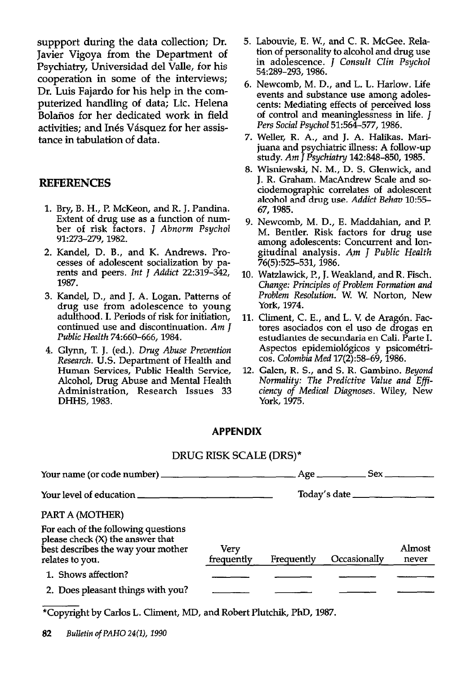suppport during the data collection; Dr. Javier Vigoya from the Department of Psychiatry, Universidad de1 Valle, for his cooperation in some of the interviews; Dr. Luis Fajardo for his help in the computerized handling of data; Lic. Helena Bolafios for her dedicated work in field activities; and Inés Vásquez for her assistance in tabulation of data.

### REFERENCES

- 1. Bry, B. H., P. McKeon, and R. J. Pandina. Extent of drug use as a function of number of risk factors. J Abnorm Psycho1 91:273-279, 1982.
- 2. Kandel, D. B., and K. Andrews. Processes of adolescent socialization by parents and peers. Int J Addict  $22:319-342$ , 1987.
- 3. Kandel, D., and J. A. Logan. Patterns of drug use from adolescence to young adulthood. I. Periods of risk for initiation, continued use and discontinuation. Am J Public Health 74:660-666,1984.
- 4. Glynn, T. J. (ed.). Drug Abuse Prevention Research. U.S. Department of Health and Human Services, Public Health Service, Alcohol, Drug Abuse and Mental Health Administration, Research Issues 33 DHHS, 1983.
- 5. Labouvie, E. W., and C. R. McGee. Relation of personality to alcohol and drug use in adolescence. J Consult Clin Psychol 54:289-293,1986.
- 6. Newcomb, M. D., and L. L. Harlow. Life events and substance use among adolescents: Mediating effects of perceived loss of control and meaninglessness in life. 1 Pers Social Psycho1 51:564-577,1986.
- 7. Weller, R. A., and J. A. Halikas. Mari juana and psychiatric illness: A follow-up study. Am J Psychiatry 142:848-850, 1985.
- 8. Wisniewski, N. M., D. S. Glenwick, and J. R. Graham. MacAndrew Scale and sociodemographic correlates of adolescent alcohol and drug use. Addict Behav 10:55- 67,1985.
- 9. Newcomb, M. D., E. Maddahian, and P. M. Bentler. Risk factors for drug use among adolescents: Concurrent and longitudinal analysis. Am 1 Public Health 76(5):525-531,1986.
- 10. Watzlawick, P., J. Weakland, and R. Fisch. Change: Principles of Problem Formation and Problem Resolution. W. W. Norton, New York, 1974.
- 11. Climent, C. E., and L. V. de Aragón. Factores asociados con el uso de drogas en estudiantes de secundaria en Cali. Parte I. Aspectos epidemioldgicos y psicometricos. Colombia Med 17(2):58-69, 1986.
- 12. Galen, R. S., and S. R. Gambino. Beyond Normality: The Predictive Value and Efficiency of Medical Diagnoses. Wiley, New York, 1975.

### APPENDIX

|                                                                                                                                  |                    |            | Sex          |                 |
|----------------------------------------------------------------------------------------------------------------------------------|--------------------|------------|--------------|-----------------|
|                                                                                                                                  |                    |            |              |                 |
| PART A (MOTHER)                                                                                                                  |                    |            |              |                 |
| For each of the following questions<br>please check (X) the answer that<br>best describes the way your mother<br>relates to you. | Very<br>frequently | Frequently | Occasionally | Almost<br>never |
| 1. Shows affection?                                                                                                              |                    |            |              |                 |
| 2. Does pleasant things with you?                                                                                                |                    |            |              |                 |

#### DRUG RISK SCALE (DRS)\*

\*Copyright by Carlos L. Cllment, MD, and Robert Plutchik, PhD, 1987.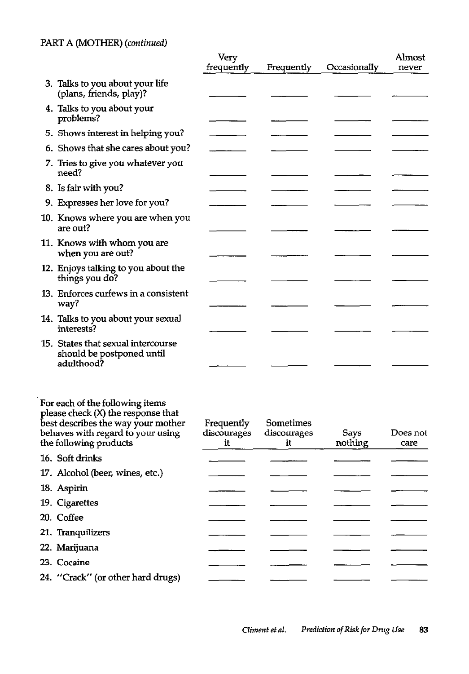# PART A (MOTHER) (continued)

J.

|                                                                                                                                                  | Very                      |                          |              | Almost   |
|--------------------------------------------------------------------------------------------------------------------------------------------------|---------------------------|--------------------------|--------------|----------|
|                                                                                                                                                  | frequently                | Frequently               | Occasionally | never    |
| 3. Talks to you about your life<br>(plans, friends, play)?                                                                                       |                           |                          |              |          |
| 4. Talks to you about your<br>problems?                                                                                                          |                           |                          |              |          |
| 5. Shows interest in helping you?                                                                                                                |                           |                          |              |          |
| 6. Shows that she cares about you?                                                                                                               |                           |                          |              |          |
| 7. Tries to give you whatever you<br>need?                                                                                                       |                           |                          |              |          |
| 8. Is fair with you?                                                                                                                             |                           |                          |              |          |
| 9. Expresses her love for you?                                                                                                                   |                           |                          |              |          |
| 10. Knows where you are when you<br>are out?                                                                                                     |                           |                          |              |          |
| 11. Knows with whom you are<br>when you are out?                                                                                                 |                           |                          |              |          |
| 12. Enjoys talking to you about the<br>things you do?                                                                                            |                           |                          |              |          |
| 13. Enforces curfews in a consistent<br>way?                                                                                                     |                           |                          |              |          |
| 14. Talks to you about your sexual<br>interests?                                                                                                 |                           |                          |              |          |
| 15. States that sexual intercourse<br>should be postponed until<br>adulthood?                                                                    |                           |                          |              |          |
| For each of the following items<br>please check (X) the response that<br>best describes the way your mother<br>behaves with regard to your using | Frequently<br>discourages | Sometimes<br>discourages | Says         | Does not |
| the following products                                                                                                                           | it                        | it                       | nothing      | care     |

| the following products            | it | it | nothing | care |
|-----------------------------------|----|----|---------|------|
| 16. Soft drinks                   |    |    |         |      |
| 17. Alcohol (beer, wines, etc.)   |    |    |         |      |
| 18. Aspirin                       |    |    |         |      |
| 19. Cigarettes                    |    |    |         |      |
| 20. Coffee                        |    |    |         |      |
| 21. Tranquilizers                 |    |    |         |      |
| 22. Marijuana                     |    |    |         |      |
| 23. Cocaine                       |    |    |         |      |
| 24. "Crack" (or other hard drugs) |    |    |         |      |
|                                   |    |    |         |      |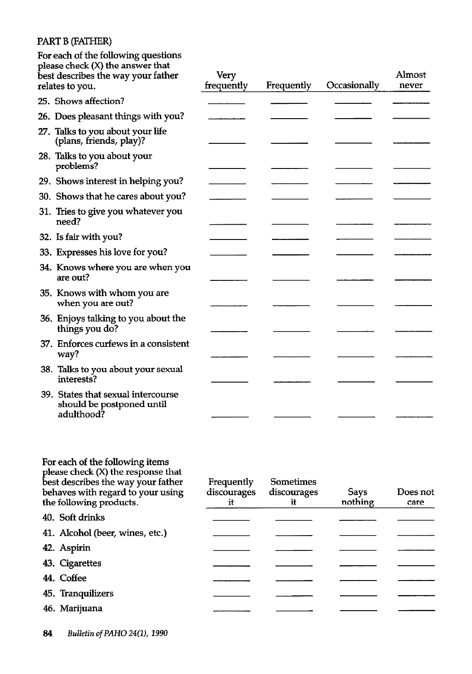#### PART B (FATHER)

| For each of the following questions<br>please check (X) the answer that<br>best describes the way your father<br>relates to you. | Very<br>frequently | Frequently | Occasionally | Almost<br>never |
|----------------------------------------------------------------------------------------------------------------------------------|--------------------|------------|--------------|-----------------|
| 25. Shows affection?                                                                                                             |                    |            |              |                 |
| 26. Does pleasant things with you?                                                                                               |                    |            |              |                 |
| 27. Talks to you about your life<br>(plans, friends, play)?                                                                      |                    |            |              |                 |
| 28. Talks to you about your<br>problems?                                                                                         |                    |            |              |                 |
| 29. Shows interest in helping you?                                                                                               |                    |            |              |                 |
| 30. Shows that he cares about you?                                                                                               |                    |            |              |                 |
| 31. Tries to give you whatever you<br>need?                                                                                      |                    |            |              |                 |
| 32. Is fair with you?                                                                                                            |                    |            |              |                 |
| 33. Expresses his love for you?                                                                                                  |                    |            |              |                 |
| 34. Knows where you are when you<br>are out?                                                                                     |                    |            |              |                 |
| 35. Knows with whom you are<br>when you are out?                                                                                 |                    |            |              |                 |
| 36. Enjoys talking to you about the<br>things you do?                                                                            |                    |            |              |                 |
| 37. Enforces curfews in a consistent<br>way?                                                                                     |                    |            |              |                 |
| 38. Talks to you about your sexual<br>interests?                                                                                 |                    |            |              |                 |
| 39. States that sexual intercourse<br>should be postponed until<br>adulthood?                                                    |                    |            |              |                 |

For each of the following items please check (X) the response that

| best describes the way your father<br>behaves with regard to your using<br>the following products. | Frequently<br>discourages | Sometimes<br>discourages | Says<br>nothing | Does not<br>care |
|----------------------------------------------------------------------------------------------------|---------------------------|--------------------------|-----------------|------------------|
| 40. Soft drinks                                                                                    |                           |                          |                 |                  |
| 41. Alcohol (beer, wines, etc.)                                                                    |                           |                          |                 |                  |
| 42. Aspirin                                                                                        |                           |                          |                 |                  |
| 43. Cigarettes                                                                                     |                           |                          |                 |                  |
| 44. Coffee                                                                                         |                           |                          |                 |                  |
| 45. Tranquilizers                                                                                  |                           |                          |                 |                  |
| 46. Marijuana                                                                                      |                           |                          |                 |                  |
|                                                                                                    |                           |                          |                 |                  |